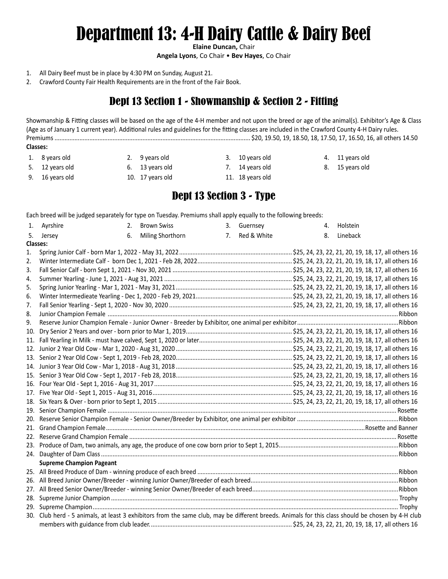# Department 13: 4-H Dairy Cattle & Dairy Beef

**Elaine Duncan,** Chair

**Angela Lyons**, Co Chair • **Bev Hayes**, Co Chair

- 1. All Dairy Beef must be in place by 4:30 PM on Sunday, August 21.
- 2. Crawford County Fair Health Requirements are in the front of the Fair Book.

## Dept 13 Section 1 - Showmanship & Section 2 - Fitting

Showmanship & Fitting classes will be based on the age of the 4-H member and not upon the breed or age of the animal(s). Exhibitor's Age & Class (Age as of January 1 current year). Additional rules and guidelines for the fitting classes are included in the Crawford County 4-H Dairy rules. Premiums ...................................................................................................................... \$20, 19.50, 19, 18.50, 18, 17.50, 17, 16.50, 16, all others 14.50 **Classes:**

1. 8 years old 2. 9 years old 3. 10 years old 4. 11 years old 5. 12 years old 6. 13 years old 7. 14 years old 8. 15 years old 9. 16 years old 10. 17 years old 11. 18 years old

#### Dept 13 Section 3 - Type

Each breed will be judged separately for type on Tuesday. Premiums shall apply equally to the following breeds:

| Miling Shorthorn<br>Red & White<br>5. Jersey<br>7.<br>6.<br>8.<br>Lineback<br>Classes:<br>1.<br>2.<br>3.<br>4.<br>5.<br>6.<br>7.<br>8.<br>9.<br>10.<br><b>Supreme Champion Pageant</b> |  | 1. Ayrshire | 2. | <b>Brown Swiss</b> |  | 3. Guernsey |  |  | 4. | Holstein |  |  |
|----------------------------------------------------------------------------------------------------------------------------------------------------------------------------------------|--|-------------|----|--------------------|--|-------------|--|--|----|----------|--|--|
|                                                                                                                                                                                        |  |             |    |                    |  |             |  |  |    |          |  |  |
|                                                                                                                                                                                        |  |             |    |                    |  |             |  |  |    |          |  |  |
|                                                                                                                                                                                        |  |             |    |                    |  |             |  |  |    |          |  |  |
|                                                                                                                                                                                        |  |             |    |                    |  |             |  |  |    |          |  |  |
|                                                                                                                                                                                        |  |             |    |                    |  |             |  |  |    |          |  |  |
|                                                                                                                                                                                        |  |             |    |                    |  |             |  |  |    |          |  |  |
|                                                                                                                                                                                        |  |             |    |                    |  |             |  |  |    |          |  |  |
|                                                                                                                                                                                        |  |             |    |                    |  |             |  |  |    |          |  |  |
|                                                                                                                                                                                        |  |             |    |                    |  |             |  |  |    |          |  |  |
|                                                                                                                                                                                        |  |             |    |                    |  |             |  |  |    |          |  |  |
|                                                                                                                                                                                        |  |             |    |                    |  |             |  |  |    |          |  |  |
|                                                                                                                                                                                        |  |             |    |                    |  |             |  |  |    |          |  |  |
|                                                                                                                                                                                        |  |             |    |                    |  |             |  |  |    |          |  |  |
|                                                                                                                                                                                        |  |             |    |                    |  |             |  |  |    |          |  |  |
|                                                                                                                                                                                        |  |             |    |                    |  |             |  |  |    |          |  |  |
|                                                                                                                                                                                        |  |             |    |                    |  |             |  |  |    |          |  |  |
|                                                                                                                                                                                        |  |             |    |                    |  |             |  |  |    |          |  |  |
|                                                                                                                                                                                        |  |             |    |                    |  |             |  |  |    |          |  |  |
|                                                                                                                                                                                        |  |             |    |                    |  |             |  |  |    |          |  |  |
|                                                                                                                                                                                        |  |             |    |                    |  |             |  |  |    |          |  |  |
|                                                                                                                                                                                        |  |             |    |                    |  |             |  |  |    |          |  |  |
|                                                                                                                                                                                        |  |             |    |                    |  |             |  |  |    |          |  |  |
|                                                                                                                                                                                        |  |             |    |                    |  |             |  |  |    |          |  |  |
|                                                                                                                                                                                        |  |             |    |                    |  |             |  |  |    |          |  |  |
|                                                                                                                                                                                        |  |             |    |                    |  |             |  |  |    |          |  |  |
|                                                                                                                                                                                        |  |             |    |                    |  |             |  |  |    |          |  |  |
|                                                                                                                                                                                        |  |             |    |                    |  |             |  |  |    |          |  |  |
|                                                                                                                                                                                        |  |             |    |                    |  |             |  |  |    |          |  |  |
|                                                                                                                                                                                        |  |             |    |                    |  |             |  |  |    |          |  |  |
|                                                                                                                                                                                        |  |             |    |                    |  |             |  |  |    |          |  |  |
|                                                                                                                                                                                        |  |             |    |                    |  |             |  |  |    |          |  |  |
|                                                                                                                                                                                        |  |             |    |                    |  |             |  |  |    |          |  |  |
| 30. Club herd - 5 animals, at least 3 exhibitors from the same club, may be different breeds. Animals for this class should be chosen by 4-H club                                      |  |             |    |                    |  |             |  |  |    |          |  |  |
|                                                                                                                                                                                        |  |             |    |                    |  |             |  |  |    |          |  |  |